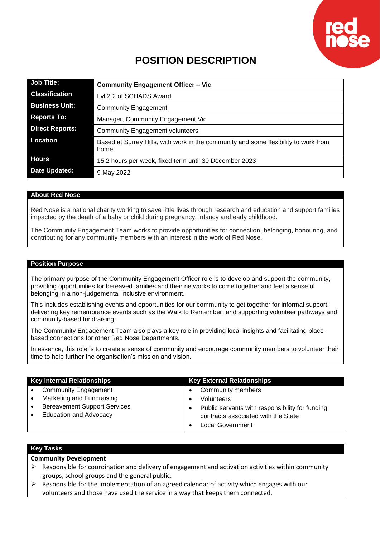

# **POSITION DESCRIPTION**

| <b>Job Title:</b>      | <b>Community Engagement Officer - Vic</b>                                                   |
|------------------------|---------------------------------------------------------------------------------------------|
| <b>Classification</b>  | Lyl 2.2 of SCHADS Award                                                                     |
| <b>Business Unit:</b>  | <b>Community Engagement</b>                                                                 |
| <b>Reports To:</b>     | Manager, Community Engagement Vic                                                           |
| <b>Direct Reports:</b> | <b>Community Engagement volunteers</b>                                                      |
| <b>Location</b>        | Based at Surrey Hills, with work in the community and some flexibility to work from<br>home |
| <b>Hours</b>           | 15.2 hours per week, fixed term until 30 December 2023                                      |
| Date Updated:          | 9 May 2022                                                                                  |

#### **About Red Nose**

Red Nose is a national charity working to save little lives through research and education and support families impacted by the death of a baby or child during pregnancy, infancy and early childhood.

The Community Engagement Team works to provide opportunities for connection, belonging, honouring, and contributing for any community members with an interest in the work of Red Nose.

#### **Position Purpose**

The primary purpose of the Community Engagement Officer role is to develop and support the community, providing opportunities for bereaved families and their networks to come together and feel a sense of belonging in a non-judgemental inclusive environment.

This includes establishing events and opportunities for our community to get together for informal support, delivering key remembrance events such as the Walk to Remember, and supporting volunteer pathways and community-based fundraising.

The Community Engagement Team also plays a key role in providing local insights and facilitating placebased connections for other Red Nose Departments.

In essence, this role is to create a sense of community and encourage community members to volunteer their time to help further the organisation's mission and vision.

| <b>Key Internal Relationships</b>                | <b>Key External Relationships</b>               |
|--------------------------------------------------|-------------------------------------------------|
| <b>Community Engagement</b><br>$\bullet$         | Community members                               |
| Marketing and Fundraising<br>$\bullet$           | <b>Volunteers</b>                               |
| <b>Bereavement Support Services</b><br>$\bullet$ | Public servants with responsibility for funding |
| <b>Education and Advocacy</b><br>$\bullet$       | contracts associated with the State             |
|                                                  | <b>Local Government</b>                         |

# **Key Tasks**

**Community Development**

- $\triangleright$  Responsible for coordination and delivery of engagement and activation activities within community groups, school groups and the general public.
- $\triangleright$  Responsible for the implementation of an agreed calendar of activity which engages with our volunteers and those have used the service in a way that keeps them connected.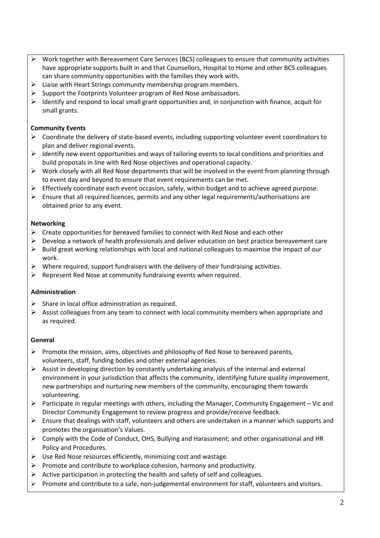- ➢ Work together with Bereavement Care Services (BCS) colleagues to ensure that community activities have appropriate supports built in and that Counsellors, Hospital to Home and other BCS colleagues can share community opportunities with the families they work with.
- $\triangleright$  Liaise with Heart Strings community membership program members.
- ➢ Support the Footprints Volunteer program of Red Nose ambassadors.
- $\triangleright$  Identify and respond to local small grant opportunities and, in conjunction with finance, acquit for small grants.

# **Community Events**

- $\triangleright$  Coordinate the delivery of state-based events, including supporting volunteer event coordinators to plan and deliver regional events.
- $\triangleright$  Identify new event opportunities and ways of tailoring events to local conditions and priorities and build proposals in line with Red Nose objectives and operational capacity.
- $\triangleright$  Work closely with all Red Nose departments that will be involved in the event from planning through to event day and beyond to ensure that event requirements can be met.
- $\triangleright$  Effectively coordinate each event occasion, safely, within budget and to achieve agreed purpose.
- $\triangleright$  Ensure that all required licences, permits and any other legal requirements/authorisations are obtained prior to any event.

## **Networking**

- $\triangleright$  Create opportunities for bereaved families to connect with Red Nose and each other
- ➢ Develop a network of health professionals and deliver education on best practice bereavement care
- ➢ Build great working relationships with local and national colleagues to maximise the impact of our work.
- $\triangleright$  Where required, support fundraisers with the delivery of their fundraising activities.
- $\triangleright$  Represent Red Nose at community fundraising events when required.

## **Administration**

- $\triangleright$  Share in local office administration as required.
- $\triangleright$  Assist colleagues from any team to connect with local community members when appropriate and as required.

## **General**

- ➢ Promote the mission, aims, objectives and philosophy of Red Nose to bereaved parents, volunteers, staff, funding bodies and other external agencies.
- $\triangleright$  Assist in developing direction by constantly undertaking analysis of the internal and external environment in your jurisdiction that affects the community, identifying future quality improvement, new partnerships and nurturing new members of the community, encouraging them towards volunteering.
- $\triangleright$  Participate in regular meetings with others, including the Manager, Community Engagement Vic and Director Community Engagement to review progress and provide/receive feedback.
- $\triangleright$  Ensure that dealings with staff, volunteers and others are undertaken in a manner which supports and promotes the organisation's Values.
- ➢ Comply with the Code of Conduct, OHS, Bullying and Harassment; and other organisational and HR Policy and Procedures.
- $\triangleright$  Use Red Nose resources efficiently, minimizing cost and wastage.
- $\triangleright$  Promote and contribute to workplace cohesion, harmony and productivity.
- $\triangleright$  Active participation in protecting the health and safety of self and colleagues.
- ➢ Promote and contribute to a safe, non-judgemental environment for staff, volunteers and visitors.